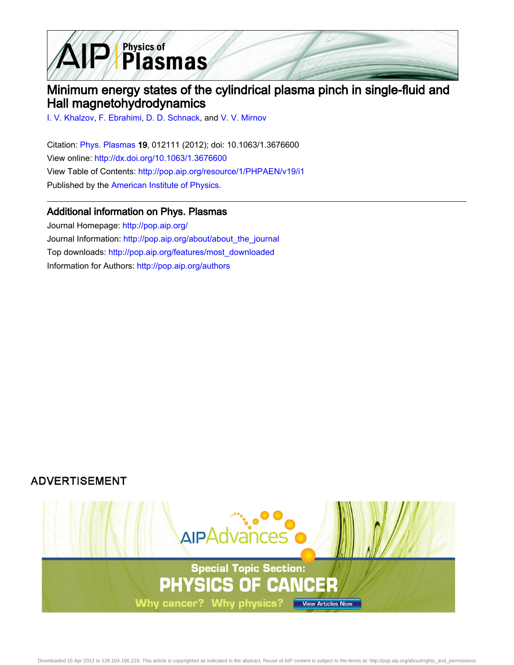

# Minimum energy states of the cylindrical plasma pinch in single-fluid and Hall magnetohydrodynamics

[I. V. Khalzov](http://pop.aip.org/search?sortby=newestdate&q=&searchzone=2&searchtype=searchin&faceted=faceted&key=AIP_ALL&possible1=I. V. Khalzov&possible1zone=author&alias=&displayid=AIP&ver=pdfcov), [F. Ebrahimi,](http://pop.aip.org/search?sortby=newestdate&q=&searchzone=2&searchtype=searchin&faceted=faceted&key=AIP_ALL&possible1=F. Ebrahimi&possible1zone=author&alias=&displayid=AIP&ver=pdfcov) [D. D. Schnack](http://pop.aip.org/search?sortby=newestdate&q=&searchzone=2&searchtype=searchin&faceted=faceted&key=AIP_ALL&possible1=D. D. Schnack&possible1zone=author&alias=&displayid=AIP&ver=pdfcov), and [V. V. Mirnov](http://pop.aip.org/search?sortby=newestdate&q=&searchzone=2&searchtype=searchin&faceted=faceted&key=AIP_ALL&possible1=V. V. Mirnov&possible1zone=author&alias=&displayid=AIP&ver=pdfcov)

Citation: [Phys. Plasmas](http://pop.aip.org/?ver=pdfcov) 19, 012111 (2012); doi: 10.1063/1.3676600 View online: [http://dx.doi.org/10.1063/1.3676600](http://link.aip.org/link/doi/10.1063/1.3676600?ver=pdfcov) View Table of Contents: [http://pop.aip.org/resource/1/PHPAEN/v19/i1](http://pop.aip.org/resource/1/PHPAEN/v19/i1?ver=pdfcov) Published by the [American Institute of Physics.](http://www.aip.org/?ver=pdfcov)

# Additional information on Phys. Plasmas

Journal Homepage: [http://pop.aip.org/](http://pop.aip.org/?ver=pdfcov) Journal Information: [http://pop.aip.org/about/about\\_the\\_journal](http://pop.aip.org/about/about_the_journal?ver=pdfcov) Top downloads: [http://pop.aip.org/features/most\\_downloaded](http://pop.aip.org/features/most_downloaded?ver=pdfcov) Information for Authors: [http://pop.aip.org/authors](http://pop.aip.org/authors?ver=pdfcov)

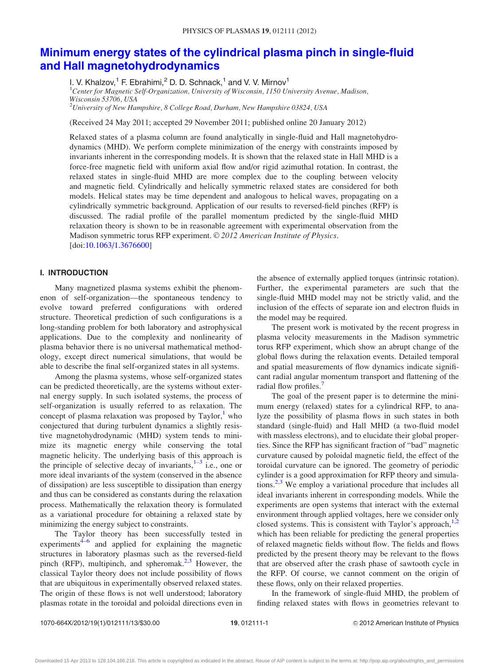# [Minimum energy states of the cylindrical plasma pinch in single-fluid](http://dx.doi.org/10.1063/1.3676600) [and Hall magnetohydrodynamics](http://dx.doi.org/10.1063/1.3676600)

I. V. Khalzov,<sup>1</sup> F. Ebrahimi,<sup>2</sup> D. D. Schnack,<sup>1</sup> and V. V. Mirnov<sup>1</sup>

<sup>1</sup>Center for Magnetic Self-Organization, University of Wisconsin, 1150 University Avenue, Madison, Wisconsin 53706, USA

 $^{2}$ University of New Hampshire, 8 College Road, Durham, New Hampshire 03824, USA

(Received 24 May 2011; accepted 29 November 2011; published online 20 January 2012)

Relaxed states of a plasma column are found analytically in single-fluid and Hall magnetohydrodynamics (MHD). We perform complete minimization of the energy with constraints imposed by invariants inherent in the corresponding models. It is shown that the relaxed state in Hall MHD is a force-free magnetic field with uniform axial flow and/or rigid azimuthal rotation. In contrast, the relaxed states in single-fluid MHD are more complex due to the coupling between velocity and magnetic field. Cylindrically and helically symmetric relaxed states are considered for both models. Helical states may be time dependent and analogous to helical waves, propagating on a cylindrically symmetric background. Application of our results to reversed-field pinches (RFP) is discussed. The radial profile of the parallel momentum predicted by the single-fluid MHD relaxation theory is shown to be in reasonable agreement with experimental observation from the Madison symmetric torus RFP experiment. © 2012 American Institute of Physics. [doi:[10.1063/1.3676600\]](http://dx.doi.org/10.1063/1.3676600)

### I. INTRODUCTION

Many magnetized plasma systems exhibit the phenomenon of self-organization—the spontaneous tendency to evolve toward preferred configurations with ordered structure. Theoretical prediction of such configurations is a long-standing problem for both laboratory and astrophysical applications. Due to the complexity and nonlinearity of plasma behavior there is no universal mathematical methodology, except direct numerical simulations, that would be able to describe the final self-organized states in all systems.

Among the plasma systems, whose self-organized states can be predicted theoretically, are the systems without external energy supply. In such isolated systems, the process of self-organization is usually referred to as relaxation. The concept of plasma relaxation was proposed by Taylor, $<sup>1</sup>$  $<sup>1</sup>$  $<sup>1</sup>$  who</sup> conjectured that during turbulent dynamics a slightly resistive magnetohydrodynamic (MHD) system tends to minimize its magnetic energy while conserving the total magnetic helicity. The underlying basis of this approach is the principle of selective decay of invariants, $1-3$  $1-3$  $1-3$  i.e., one or more ideal invariants of the system (conserved in the absence of dissipation) are less susceptible to dissipation than energy and thus can be considered as constants during the relaxation process. Mathematically the relaxation theory is formulated as a variational procedure for obtaining a relaxed state by minimizing the energy subject to constraints.

The Taylor theory has been successfully tested in experiments<sup>[4–6](#page-13-0)</sup> and applied for explaining the magnetic structures in laboratory plasmas such as the reversed-field pinch (RFP), multipinch, and spheromak. $2,3$  $2,3$  $2,3$  However, the classical Taylor theory does not include possibility of flows that are ubiquitous in experimentally observed relaxed states. The origin of these flows is not well understood; laboratory plasmas rotate in the toroidal and poloidal directions even in the absence of externally applied torques (intrinsic rotation). Further, the experimental parameters are such that the single-fluid MHD model may not be strictly valid, and the inclusion of the effects of separate ion and electron fluids in the model may be required.

The present work is motivated by the recent progress in plasma velocity measurements in the Madison symmetric torus RFP experiment, which show an abrupt change of the global flows during the relaxation events. Detailed temporal and spatial measurements of flow dynamics indicate significant radial angular momentum transport and flattening of the radial flow profiles.<sup>[7](#page-13-0)</sup>

The goal of the present paper is to determine the minimum energy (relaxed) states for a cylindrical RFP, to analyze the possibility of plasma flows in such states in both standard (single-fluid) and Hall MHD (a two-fluid model with massless electrons), and to elucidate their global properties. Since the RFP has significant fraction of "bad" magnetic curvature caused by poloidal magnetic field, the effect of the toroidal curvature can be ignored. The geometry of periodic cylinder is a good approximation for RFP theory and simulations. $2,3$  We employ a variational procedure that includes all ideal invariants inherent in corresponding models. While the experiments are open systems that interact with the external environment through applied voltages, here we consider only closed systems. This is consistent with Taylor's approach,  $1,2$  $1,2$  $1,2$ which has been reliable for predicting the general properties of relaxed magnetic fields without flow. The fields and flows predicted by the present theory may be relevant to the flows that are observed after the crash phase of sawtooth cycle in the RFP. Of course, we cannot comment on the origin of these flows, only on their relaxed properties.

In the framework of single-fluid MHD, the problem of finding relaxed states with flows in geometries relevant to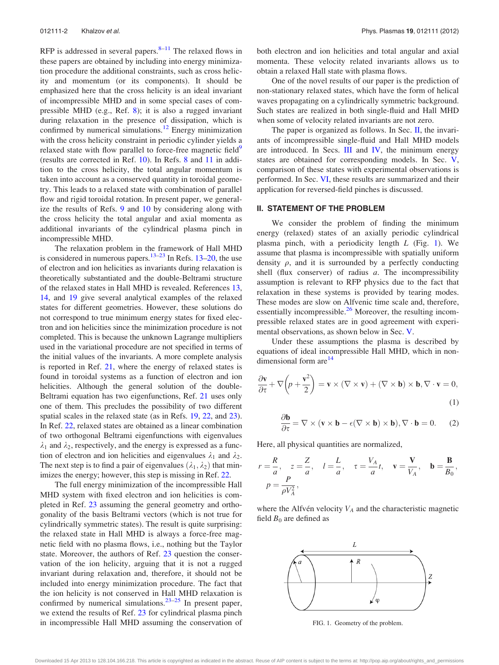<span id="page-2-0"></span>RFP is addressed in several papers. $8-11$  The relaxed flows in these papers are obtained by including into energy minimization procedure the additional constraints, such as cross helicity and momentum (or its components). It should be emphasized here that the cross helicity is an ideal invariant of incompressible MHD and in some special cases of compressible MHD (e.g., Ref. [8\)](#page-13-0); it is also a rugged invariant during relaxation in the presence of dissipation, which is confirmed by numerical simulations.<sup>[12](#page-13-0)</sup> Energy minimization with the cross helicity constraint in periodic cylinder yields a relaxed state with flow parallel to force-free magnetic field<sup>[9](#page-13-0)</sup> (results are corrected in Ref. [10](#page-13-0)). In Refs. [8](#page-13-0) and [11](#page-13-0) in addition to the cross helicity, the total angular momentum is taken into account as a conserved quantity in toroidal geometry. This leads to a relaxed state with combination of parallel flow and rigid toroidal rotation. In present paper, we generalize the results of Refs. [9](#page-13-0) and [10](#page-13-0) by considering along with the cross helicity the total angular and axial momenta as additional invariants of the cylindrical plasma pinch in incompressible MHD.

The relaxation problem in the framework of Hall MHD is considered in numerous papers. $13-23$  $13-23$  $13-23$  In Refs. [13–20](#page-13-0), the use of electron and ion helicities as invariants during relaxation is theoretically substantiated and the double-Beltrami structure of the relaxed states in Hall MHD is revealed. References [13](#page-13-0), [14,](#page-13-0) and [19](#page-13-0) give several analytical examples of the relaxed states for different geometries. However, these solutions do not correspond to true minimum energy states for fixed electron and ion helicities since the minimization procedure is not completed. This is because the unknown Lagrange multipliers used in the variational procedure are not specified in terms of the initial values of the invariants. A more complete analysis is reported in Ref. [21](#page-13-0), where the energy of relaxed states is found in toroidal systems as a function of electron and ion helicities. Although the general solution of the double-Beltrami equation has two eigenfunctions, Ref. [21](#page-13-0) uses only one of them. This precludes the possibility of two different spatial scales in the relaxed state (as in Refs. [19](#page-13-0), [22](#page-13-0), and [23\)](#page-13-0). In Ref. [22,](#page-13-0) relaxed states are obtained as a linear combination of two orthogonal Beltrami eigenfunctions with eigenvalues  $\lambda_1$  and  $\lambda_2$ , respectively, and the energy is expressed as a function of electron and ion helicities and eigenvalues  $\lambda_1$  and  $\lambda_2$ . The next step is to find a pair of eigenvalues  $(\lambda_1, \lambda_2)$  that minimizes the energy; however, this step is missing in Ref. [22](#page-13-0).

The full energy minimization of the incompressible Hall MHD system with fixed electron and ion helicities is completed in Ref. [23](#page-13-0) assuming the general geometry and orthogonality of the basis Beltrami vectors (which is not true for cylindrically symmetric states). The result is quite surprising: the relaxed state in Hall MHD is always a force-free magnetic field with no plasma flows, i.e., nothing but the Taylor state. Moreover, the authors of Ref. [23](#page-13-0) question the conservation of the ion helicity, arguing that it is not a rugged invariant during relaxation and, therefore, it should not be included into energy minimization procedure. The fact that the ion helicity is not conserved in Hall MHD relaxation is confirmed by numerical simulations.<sup>23–25</sup> In present paper, we extend the results of Ref. [23](#page-13-0) for cylindrical plasma pinch in incompressible Hall MHD assuming the conservation of both electron and ion helicities and total angular and axial momenta. These velocity related invariants allows us to obtain a relaxed Hall state with plasma flows.

One of the novel results of our paper is the prediction of non-stationary relaxed states, which have the form of helical waves propagating on a cylindrically symmetric background. Such states are realized in both single-fluid and Hall MHD when some of velocity related invariants are not zero.

The paper is organized as follows. In Sec. II, the invariants of incompressible single-fluid and Hall MHD models are introduced. In Secs.  $III$  and  $IV$ , the minimum energy states are obtained for corresponding models. In Sec. [V](#page-11-0), comparison of these states with experimental observations is performed. In Sec. [VI](#page-11-0), these results are summarized and their application for reversed-field pinches is discussed.

### II. STATEMENT OF THE PROBLEM

We consider the problem of finding the minimum energy (relaxed) states of an axially periodic cylindrical plasma pinch, with a periodicity length  $L$  (Fig. 1). We assume that plasma is incompressible with spatially uniform density  $\rho$ , and it is surrounded by a perfectly conducting shell (flux conserver) of radius  $a$ . The incompressibility assumption is relevant to RFP physics due to the fact that relaxation in these systems is provided by tearing modes. These modes are slow on Alfvenic time scale and, therefore, essentially incompressible. $26$  Moreover, the resulting incompressible relaxed states are in good agreement with experimental observations, as shown below in Sec. [V.](#page-11-0)

Under these assumptions the plasma is described by equations of ideal incompressible Hall MHD, which in non-dimensional form are<sup>[14](#page-13-0)</sup>

$$
\frac{\partial \mathbf{v}}{\partial \tau} + \nabla \left( p + \frac{\mathbf{v}^2}{2} \right) = \mathbf{v} \times (\nabla \times \mathbf{v}) + (\nabla \times \mathbf{b}) \times \mathbf{b}, \nabla \cdot \mathbf{v} = 0,
$$
\n(1)

$$
\frac{\partial \mathbf{b}}{\partial \tau} = \nabla \times (\mathbf{v} \times \mathbf{b} - \epsilon (\nabla \times \mathbf{b}) \times \mathbf{b}), \nabla \cdot \mathbf{b} = 0.
$$
 (2)

Here, all physical quantities are normalized,

$$
r = \frac{R}{a}, \quad z = \frac{Z}{a}, \quad l = \frac{L}{a}, \quad \tau = \frac{V_A}{a}t, \quad \mathbf{v} = \frac{\mathbf{V}}{V_A}, \quad \mathbf{b} = \frac{\mathbf{B}}{B_0},
$$

$$
p = \frac{P}{\rho V_A^2},
$$

where the Alfvén velocity  $V_A$  and the characteristic magnetic field  $B_0$  are defined as



FIG. 1. Geometry of the problem.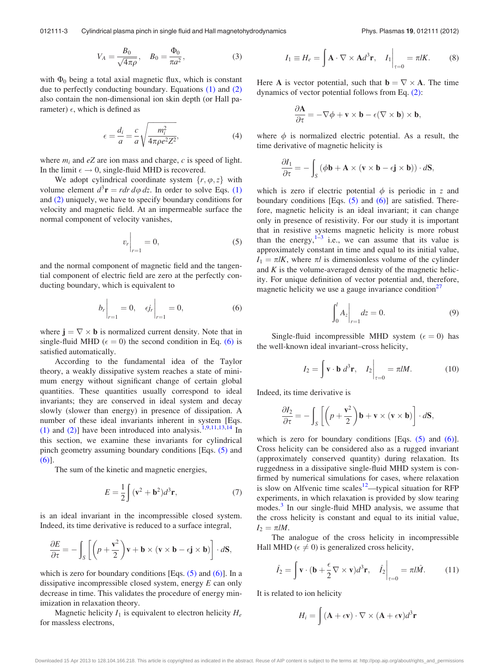$$
V_A = \frac{B_0}{\sqrt{4\pi\rho}}, \quad B_0 = \frac{\Phi_0}{\pi a^2}, \tag{3}
$$

<span id="page-3-0"></span>with  $\Phi_0$  being a total axial magnetic flux, which is constant due to perfectly conducting boundary. Equations [\(1\)](#page-2-0) and [\(2\)](#page-2-0) also contain the non-dimensional ion skin depth (or Hall parameter)  $\epsilon$ , which is defined as

$$
\epsilon = \frac{d_i}{a} = \frac{c}{a} \sqrt{\frac{m_i^2}{4\pi \rho e^2 Z^2}},\tag{4}
$$

where  $m_i$  and eZ are ion mass and charge, c is speed of light. In the limit  $\epsilon \to 0$ , single-fluid MHD is recovered.

We adopt cylindrical coordinate system  $\{r, \varphi, z\}$  with volume element  $d^3r = r dr d\varphi dz$ . In order to solve Eqs. [\(1\)](#page-2-0) and [\(2\)](#page-2-0) uniquely, we have to specify boundary conditions for velocity and magnetic field. At an impermeable surface the normal component of velocity vanishes,

$$
v_r\bigg|_{r=1} = 0,\tag{5}
$$

and the normal component of magnetic field and the tangential component of electric field are zero at the perfectly conducting boundary, which is equivalent to

$$
b_r\Big|_{r=1} = 0, \quad \epsilon j_r\Big|_{r=1} = 0,
$$
 (6)

where  $\mathbf{j} = \nabla \times \mathbf{b}$  is normalized current density. Note that in single-fluid MHD ( $\epsilon = 0$ ) the second condition in Eq. (6) is satisfied automatically.

According to the fundamental idea of the Taylor theory, a weakly dissipative system reaches a state of minimum energy without significant change of certain global quantities. These quantities usually correspond to ideal invariants; they are conserved in ideal system and decay slowly (slower than energy) in presence of dissipation. A number of these ideal invariants inherent in system [Eqs. [\(1\)](#page-2-0) and [\(2\)](#page-2-0)] have been introduced into analysis.<sup>[1,9,11,13,14](#page-13-0)</sup> In this section, we examine these invariants for cylindrical pinch geometry assuming boundary conditions [Eqs. (5) and (6)].

The sum of the kinetic and magnetic energies,

$$
E = \frac{1}{2} \int (\mathbf{v}^2 + \mathbf{b}^2) d^3 \mathbf{r},\tag{7}
$$

is an ideal invariant in the incompressible closed system. Indeed, its time derivative is reduced to a surface integral,

$$
\frac{\partial E}{\partial \tau} = -\int_{S} \left[ \left( p + \frac{\mathbf{v}^2}{2} \right) \mathbf{v} + \mathbf{b} \times (\mathbf{v} \times \mathbf{b} - \epsilon \mathbf{j} \times \mathbf{b}) \right] \cdot d\mathbf{S},
$$

which is zero for boundary conditions [Eqs.  $(5)$  and  $(6)$ ]. In a dissipative incompressible closed system, energy  $E$  can only decrease in time. This validates the procedure of energy minimization in relaxation theory.

Magnetic helicity  $I_1$  is equivalent to electron helicity  $H_e$ for massless electrons,

$$
I_1 \equiv H_e = \int \mathbf{A} \cdot \nabla \times \mathbf{A} d^3 \mathbf{r}, \quad I_1 \Big|_{\tau=0} = \pi l K. \quad (8)
$$

Here **A** is vector potential, such that  $\mathbf{b} = \nabla \times \mathbf{A}$ . The time dynamics of vector potential follows from Eq. [\(2\)](#page-2-0):

$$
\frac{\partial \mathbf{A}}{\partial \tau} = -\nabla \phi + \mathbf{v} \times \mathbf{b} - \epsilon (\nabla \times \mathbf{b}) \times \mathbf{b},
$$

where  $\phi$  is normalized electric potential. As a result, the time derivative of magnetic helicity is

$$
\frac{\partial I_1}{\partial \tau} = -\int_S (\phi \mathbf{b} + \mathbf{A} \times (\mathbf{v} \times \mathbf{b} - \epsilon \mathbf{j} \times \mathbf{b})) \cdot d\mathbf{S},
$$

which is zero if electric potential  $\phi$  is periodic in z and boundary conditions [Eqs.  $(5)$  and  $(6)$ ] are satisfied. Therefore, magnetic helicity is an ideal invariant; it can change only in presence of resistivity. For our study it is important that in resistive systems magnetic helicity is more robust than the energy, $1-3$  i.e., we can assume that its value is approximately constant in time and equal to its initial value,  $I_1 = \pi lK$ , where  $\pi l$  is dimensionless volume of the cylinder and  $K$  is the volume-averaged density of the magnetic helicity. For unique definition of vector potential and, therefore, magnetic helicity we use a gauge invariance condition $27$ 

$$
\int_{0}^{l} A_{z} \Big|_{r=1} dz = 0.
$$
 (9)

Single-fluid incompressible MHD system ( $\epsilon = 0$ ) has the well-known ideal invariant–cross helicity,

$$
I_2 = \int \mathbf{v} \cdot \mathbf{b} \, d^3 \mathbf{r}, \quad I_2 \bigg|_{\tau=0} = \pi l M. \tag{10}
$$

Indeed, its time derivative is

$$
\frac{\partial I_2}{\partial \tau} = -\int_S \left[ \left( p + \frac{\mathbf{v}^2}{2} \right) \mathbf{b} + \mathbf{v} \times (\mathbf{v} \times \mathbf{b}) \right] \cdot d\mathbf{S},
$$

which is zero for boundary conditions [Eqs.  $(5)$  and  $(6)$ ]. Cross helicity can be considered also as a rugged invariant (approximately conserved quantity) during relaxation. Its ruggedness in a dissipative single-fluid MHD system is confirmed by numerical simulations for cases, where relaxation is slow on Alfvenic time scales<sup>[12](#page-13-0)</sup>—typical situation for RFP experiments, in which relaxation is provided by slow tearing modes.[3](#page-13-0) In our single-fluid MHD analysis, we assume that the cross helicity is constant and equal to its initial value,  $I_2 = \pi l M$ .

The analogue of the cross helicity in incompressible Hall MHD ( $\epsilon \neq 0$ ) is generalized cross helicity,

$$
\hat{I}_2 = \int \mathbf{v} \cdot (\mathbf{b} + \frac{\epsilon}{2} \nabla \times \mathbf{v}) d^3 \mathbf{r}, \quad \hat{I}_2 \bigg|_{\tau=0} = \pi l \hat{M}.
$$
 (11)

It is related to ion helicity

$$
H_i = \int (\mathbf{A} + \epsilon \mathbf{v}) \cdot \nabla \times (\mathbf{A} + \epsilon \mathbf{v}) d^3 \mathbf{r}
$$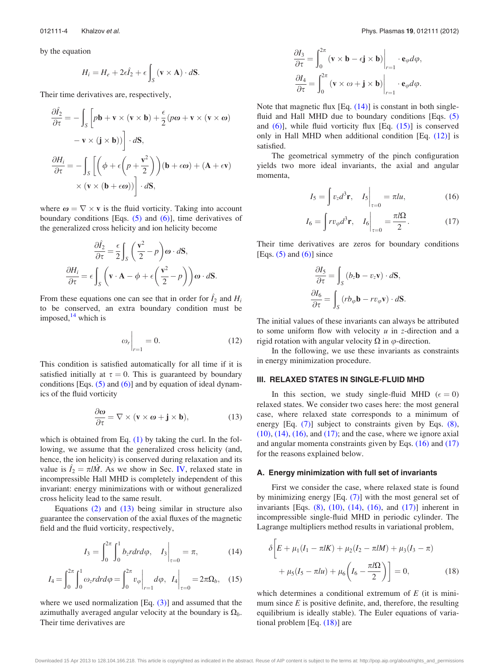<span id="page-4-0"></span>by the equation

$$
H_i = H_e + 2\epsilon \hat{I}_2 + \epsilon \int_S (\mathbf{v} \times \mathbf{A}) \cdot d\mathbf{S}.
$$

Their time derivatives are, respectively,

$$
\frac{\partial \hat{I}_2}{\partial \tau} = -\int_S \left[ p\mathbf{b} + \mathbf{v} \times (\mathbf{v} \times \mathbf{b}) + \frac{\epsilon}{2} (p\boldsymbol{\omega} + \mathbf{v} \times (\mathbf{v} \times \boldsymbol{\omega}) - \mathbf{v} \times (\mathbf{j} \times \mathbf{b})) \right] \cdot d\mathbf{S},
$$

$$
\frac{\partial H_i}{\partial \tau} = -\int_S \left[ \left( \phi + \epsilon \left( p + \frac{\mathbf{v}^2}{2} \right) \right) (\mathbf{b} + \epsilon \boldsymbol{\omega}) + (\mathbf{A} + \epsilon \mathbf{v}) \times (\mathbf{v} \times (\mathbf{b} + \epsilon \boldsymbol{\omega})) \right] \cdot d\mathbf{S},
$$

where  $\omega = \nabla \times \mathbf{v}$  is the fluid vorticity. Taking into account boundary conditions [Eqs.  $(5)$  and  $(6)$ ], time derivatives of the generalized cross helicity and ion helicity become

$$
\frac{\partial \hat{I}_2}{\partial \tau} = \frac{\epsilon}{2} \int_S \left( \frac{\mathbf{v}^2}{2} - p \right) \boldsymbol{\omega} \cdot d\mathbf{S},
$$

$$
\frac{\partial H_i}{\partial \tau} = \epsilon \int_S \left( \mathbf{v} \cdot \mathbf{A} - \phi + \epsilon \left( \frac{\mathbf{v}^2}{2} - p \right) \right) \boldsymbol{\omega} \cdot d\mathbf{S}.
$$

From these equations one can see that in order for  $\hat{I}_2$  and  $H_i$ to be conserved, an extra boundary condition must be imposed, $14$  which is

$$
\omega_r\bigg|_{r=1} = 0.\tag{12}
$$

This condition is satisfied automatically for all time if it is satisfied initially at  $\tau = 0$ . This is guaranteed by boundary conditions [Eqs.  $(5)$  and  $(6)$ ] and by equation of ideal dynamics of the fluid vorticity

$$
\frac{\partial \omega}{\partial \tau} = \nabla \times (\mathbf{v} \times \boldsymbol{\omega} + \mathbf{j} \times \mathbf{b}), \tag{13}
$$

which is obtained from Eq.  $(1)$  by taking the curl. In the following, we assume that the generalized cross helicity (and, hence, the ion helicity) is conserved during relaxation and its value is  $\hat{I}_2 = \pi l \hat{M}$ . As we show in Sec. [IV](#page-8-0), relaxed state in incompressible Hall MHD is completely independent of this invariant: energy minimizations with or without generalized cross helicity lead to the same result.

Equations [\(2\)](#page-2-0) and (13) being similar in structure also guarantee the conservation of the axial fluxes of the magnetic field and the fluid vorticity, respectively,

$$
I_3 = \int_0^{2\pi} \int_0^1 b_z r dr d\varphi, \quad I_3 \bigg|_{\tau=0} = \pi, \tag{14}
$$

$$
I_4 = \int_0^{2\pi} \int_0^1 \omega_z r dr d\varphi = \int_0^{2\pi} v_\varphi \bigg|_{r=1} d\varphi, \quad I_4 \bigg|_{\tau=0} = 2\pi \Omega_b, \quad (15)
$$

where we used normalization  $[Eq. (3)]$  $[Eq. (3)]$  and assumed that the azimuthally averaged angular velocity at the boundary is  $\Omega_b$ . Their time derivatives are

$$
\frac{\partial I_3}{\partial \tau} = \int_0^{2\pi} (\mathbf{v} \times \mathbf{b} - \epsilon \mathbf{j} \times \mathbf{b}) \Big|_{r=1} \cdot \mathbf{e}_{\varphi} d\varphi,
$$

$$
\frac{\partial I_4}{\partial \tau} = \int_0^{2\pi} (\mathbf{v} \times \omega + \mathbf{j} \times \mathbf{b}) \Big|_{r=1} \cdot \mathbf{e}_{\varphi} d\varphi.
$$

Note that magnetic flux  $[Eq. (14)]$  is constant in both single-fluid and Hall MHD due to boundary conditions [Eqs. [\(5\)](#page-3-0) and  $(6)$ ], while fluid vorticity flux [Eq.  $(15)$ ] is conserved only in Hall MHD when additional condition [Eq. (12)] is satisfied.

The geometrical symmetry of the pinch configuration yields two more ideal invariants, the axial and angular momenta,

$$
I_5 = \int v_z d^3 \mathbf{r}, \quad I_5 \bigg|_{\tau=0} = \pi l u, \tag{16}
$$

$$
I_6 = \int r v_{\varphi} d^3 \mathbf{r}, \quad I_6 \bigg|_{\tau=0} = \frac{\pi l \Omega}{2}.
$$
 (17)

Their time derivatives are zeros for boundary conditions [Eqs.  $(5)$  and  $(6)$ ] since

$$
\frac{\partial I_5}{\partial \tau} = \int_S (b_z \mathbf{b} - v_z \mathbf{v}) \cdot d\mathbf{S},
$$

$$
\frac{\partial I_6}{\partial \tau} = \int_S (rb_{\varphi} \mathbf{b} - rv_{\varphi} \mathbf{v}) \cdot d\mathbf{S}.
$$

The initial values of these invariants can always be attributed to some uniform flow with velocity  $u$  in z-direction and a rigid rotation with angular velocity  $\Omega$  in  $\varphi$ -direction.

In the following, we use these invariants as constraints in energy minimization procedure.

#### III. RELAXED STATES IN SINGLE-FLUID MHD

In this section, we study single-fluid MHD ( $\epsilon = 0$ ) relaxed states. We consider two cases here: the most general case, where relaxed state corresponds to a minimum of energy [Eq. [\(7\)](#page-3-0)] subject to constraints given by Eqs. [\(8\)](#page-3-0),  $(10)$ ,  $(14)$ ,  $(16)$ , and  $(17)$ ; and the case, where we ignore axial and angular momenta constraints given by Eqs. (16) and (17) for the reasons explained below.

#### A. Energy minimization with full set of invariants

First we consider the case, where relaxed state is found by minimizing energy [Eq. [\(7\)\]](#page-3-0) with the most general set of invariants [Eqs.  $(8)$ ,  $(10)$ ,  $(14)$ ,  $(16)$ , and  $(17)$ ] inherent in incompressible single-fluid MHD in periodic cylinder. The Lagrange multipliers method results in variational problem,

$$
\delta \left[ E + \mu_1 (I_1 - \pi l K) + \mu_2 (I_2 - \pi l M) + \mu_3 (I_3 - \pi) + \mu_5 (I_5 - \pi l u) + \mu_6 \left( I_6 - \frac{\pi l \Omega}{2} \right) \right] = 0,
$$
\n(18)

which determines a conditional extremum of  $E$  (it is minimum since  $E$  is positive definite, and, therefore, the resulting equilibrium is ideally stable). The Euler equations of variational problem [Eq. (18)] are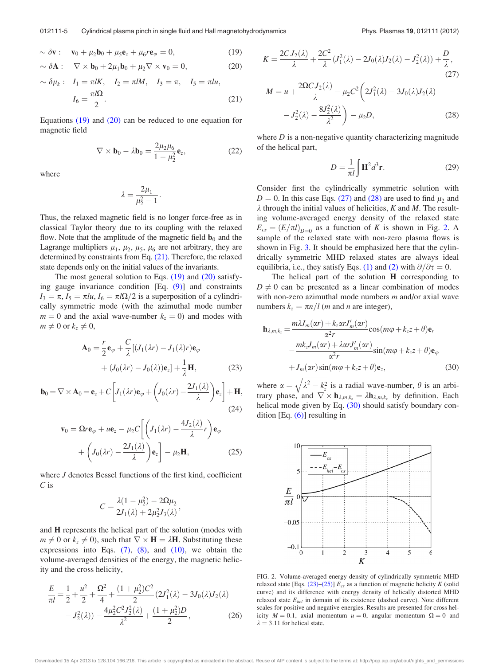<span id="page-5-0"></span>
$$
\sim \delta \mathbf{v}: \quad \mathbf{v}_0 + \mu_2 \mathbf{b}_0 + \mu_5 \mathbf{e}_z + \mu_6 r \mathbf{e}_\varphi = 0, \tag{19}
$$

$$
\sim \delta \mathbf{A} : \quad \nabla \times \mathbf{b}_0 + 2\mu_1 \mathbf{b}_0 + \mu_2 \nabla \times \mathbf{v}_0 = 0, \tag{20}
$$

$$
\sim \delta \mu_k: I_1 = \pi l K, I_2 = \pi l M, I_3 = \pi, I_5 = \pi l u,
$$
  

$$
I_6 = \frac{\pi l \Omega}{2}.
$$
 (21)

Equations  $(19)$  and  $(20)$  can be reduced to one equation for magnetic field

$$
\nabla \times \mathbf{b}_0 - \lambda \mathbf{b}_0 = \frac{2\mu_2 \mu_6}{1 - \mu_2^2} \mathbf{e}_z,
$$
 (22)

where

$$
\lambda = \frac{2\mu_1}{\mu_2^2 - 1}.
$$

Thus, the relaxed magnetic field is no longer force-free as in classical Taylor theory due to its coupling with the relaxed flow. Note that the amplitude of the magnetic field  $\mathbf{b}_0$  and the Lagrange multipliers  $\mu_1$ ,  $\mu_2$ ,  $\mu_5$ ,  $\mu_6$  are not arbitrary, they are determined by constraints from Eq. (21). Therefore, the relaxed state depends only on the initial values of the invariants.

The most general solution to Eqs.  $(19)$  and  $(20)$  satisfying gauge invariance condition [Eq. [\(9\)](#page-3-0)] and constraints  $I_3 = \pi, I_5 = \pi l u, I_6 = \pi l \Omega/2$  is a superposition of a cylindrically symmetric mode (with the azimuthal mode number  $m = 0$  and the axial wave-number  $k_z = 0$ ) and modes with  $m \neq 0$  or  $k_z \neq 0$ ,

$$
\mathbf{A}_0 = \frac{r}{2} \mathbf{e}_{\varphi} + \frac{C}{\lambda} [(J_1(\lambda r) - J_1(\lambda)r) \mathbf{e}_{\varphi} + (J_0(\lambda r) - J_0(\lambda)) \mathbf{e}_z] + \frac{1}{\lambda} \mathbf{H},
$$
(23)

$$
\mathbf{b}_0 = \nabla \times \mathbf{A}_0 = \mathbf{e}_z + C \left[ J_1(\lambda r) \mathbf{e}_{\varphi} + \left( J_0(\lambda r) - \frac{2J_1(\lambda)}{\lambda} \right) \mathbf{e}_z \right] + \mathbf{H},
$$
\n(24)

$$
\mathbf{v}_0 = \Omega r \mathbf{e}_{\varphi} + u \mathbf{e}_z - \mu_2 C \left[ \left( J_1(\lambda r) - \frac{4J_2(\lambda)}{\lambda} r \right) \mathbf{e}_{\varphi} + \left( J_0(\lambda r) - \frac{2J_1(\lambda)}{\lambda} \right) \mathbf{e}_z \right] - \mu_2 \mathbf{H}, \qquad (25)
$$

where *J* denotes Bessel functions of the first kind, coefficient C is

$$
C=\frac{\lambda(1-\mu_2^2)-2\Omega\mu_2}{2J_1(\lambda)+2\mu_2^2J_3(\lambda)},
$$

and H represents the helical part of the solution (modes with  $m \neq 0$  or  $k_z \neq 0$ ), such that  $\nabla \times \mathbf{H} = \lambda \mathbf{H}$ . Substituting these expressions into Eqs.  $(7)$ ,  $(8)$ , and  $(10)$ , we obtain the volume-averaged densities of the energy, the magnetic helicity and the cross helicity,

$$
\frac{E}{\pi l} = \frac{1}{2} + \frac{u^2}{2} + \frac{\Omega^2}{4} + \frac{(1 + \mu_2^2)C^2}{2} (2J_1^2(\lambda) - 3J_0(\lambda)J_2(\lambda) \n- J_2^2(\lambda)) - \frac{4\mu_2^2 C^2 J_2^2(\lambda)}{\lambda^2} + \frac{(1 + \mu_2^2)D}{2},
$$
\n(26)

$$
K = \frac{2CI_2(\lambda)}{\lambda} + \frac{2C^2}{\lambda} (J_1^2(\lambda) - 2J_0(\lambda)J_2(\lambda) - J_2^2(\lambda)) + \frac{D}{\lambda},
$$
\n(27)

$$
M = u + \frac{2\Omega C J_2(\lambda)}{\lambda} - \mu_2 C^2 \left( 2J_1^2(\lambda) - 3J_0(\lambda)J_2(\lambda) - J_2^2(\lambda) - \frac{8J_2^2(\lambda)}{\lambda^2} \right) - \mu_2 D,
$$
 (28)

where  $D$  is a non-negative quantity characterizing magnitude of the helical part,

$$
D = \frac{1}{\pi l} \int \mathbf{H}^2 d^3 \mathbf{r}.
$$
 (29)

Consider first the cylindrically symmetric solution with  $D = 0$ . In this case Eqs. (27) and (28) are used to find  $\mu_2$  and  $\lambda$  through the initial values of helicities, K and M. The resulting volume-averaged energy density of the relaxed state  $E_{cs}=(E/\pi l)_{D=0}$  as a function of K is shown in Fig. 2. A sample of the relaxed state with non-zero plasma flows is shown in Fig. [3.](#page-6-0) It should be emphasized here that the cylindrically symmetric MHD relaxed states are always ideal equilibria, i.e., they satisfy Eqs. [\(1\)](#page-2-0) and [\(2\)](#page-2-0) with  $\partial/\partial \tau = 0$ .

The helical part of the solution **H** corresponding to  $D \neq 0$  can be presented as a linear combination of modes with non-zero azimuthal mode numbers  $m$  and/or axial wave numbers  $k_z = \pi n/l$  (*m* and *n* are integer),

$$
\mathbf{h}_{\lambda,m,k_z} = \frac{m\lambda J_m(\alpha r) + k_z \alpha r J'_m(\alpha r)}{\alpha^2 r} \cos(m\varphi + k_z z + \theta) \mathbf{e}_r
$$
  
 
$$
- \frac{mk_z J_m(\alpha r) + \lambda \alpha r J'_m(\alpha r)}{\alpha^2 r} \sin(m\varphi + k_z z + \theta) \mathbf{e}_\varphi
$$
  
 
$$
+ J_m(\alpha r) \sin(m\varphi + k_z z + \theta) \mathbf{e}_z,
$$
 (30)

where  $\alpha =$  $\lambda^2 - k_z^2$ is a radial wave-number,  $\theta$  is an arbitrary phase, and  $\nabla \times \mathbf{h}_{\lambda,m,k_z} = \lambda \mathbf{h}_{\lambda,m,k_z}$  by definition. Each helical mode given by Eq. (30) should satisfy boundary condition [Eq.  $(6)$ ] resulting in



FIG. 2. Volume-averaged energy density of cylindrically symmetric MHD relaxed state [Eqs. (23)–(25)]  $E_{cs}$  as a function of magnetic helicity K (solid curve) and its difference with energy density of helically distorted MHD relaxed state  $E_{hel}$  in domain of its existence (dashed curve). Note different scales for positive and negative energies. Results are presented for cross helicity  $M = 0.1$ , axial momentum  $u = 0$ , angular momentum  $\Omega = 0$  and  $\lambda = 3.11$  for helical state.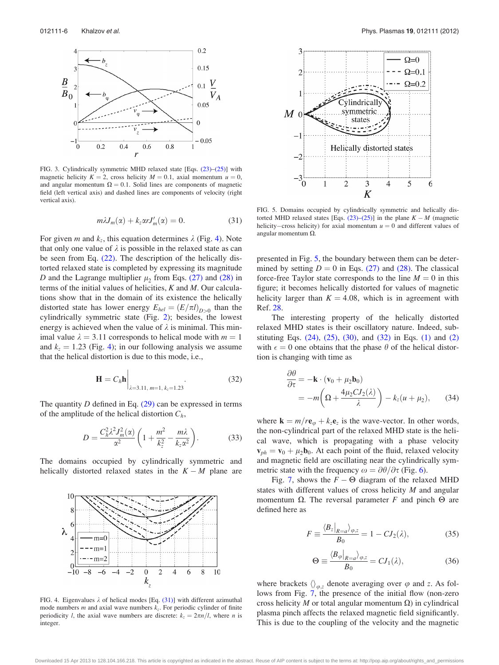<span id="page-6-0"></span>

FIG. 3. Cylindrically symmetric MHD relaxed state [Eqs. [\(23\)–\(25\)\]](#page-5-0) with magnetic helicity  $K = 2$ , cross helicity  $M = 0.1$ , axial momentum  $u = 0$ , and angular momentum  $\Omega = 0.1$ . Solid lines are components of magnetic field (left vertical axis) and dashed lines are components of velocity (right vertical axis).

$$
m\lambda J_m(\alpha) + k_z \alpha r J'_m(\alpha) = 0. \qquad (31)
$$

For given *m* and  $k_z$ , this equation determines  $\lambda$  (Fig. 4). Note that only one value of  $\lambda$  is possible in the relaxed state as can be seen from Eq. [\(22\)](#page-5-0). The description of the helically distorted relaxed state is completed by expressing its magnitude D and the Lagrange multiplier  $\mu_2$  from Eqs. [\(27\)](#page-5-0) and [\(28\)](#page-5-0) in terms of the initial values of helicities,  $K$  and  $M$ . Our calculations show that in the domain of its existence the helically distorted state has lower energy  $E_{hel} = (E/\pi l)_{D>0}$  than the cylindrically symmetric state (Fig. [2\)](#page-5-0); besides, the lowest energy is achieved when the value of  $\lambda$  is minimal. This minimal value  $\lambda = 3.11$  corresponds to helical mode with  $m = 1$ and  $k_z = 1.23$  (Fig. 4); in our following analysis we assume that the helical distortion is due to this mode, i.e.,

$$
\mathbf{H} = C_h \mathbf{h} \Big|_{\lambda = 3.11, \, m=1, \, k_z = 1.23} \,. \tag{32}
$$

The quantity  $D$  defined in Eq. [\(29\)](#page-5-0) can be expressed in terms of the amplitude of the helical distortion  $C_h$ ,

$$
D = \frac{C_h^2 \lambda^2 J_m^2(\alpha)}{\alpha^2} \left( 1 + \frac{m^2}{k_z^2} - \frac{m\lambda}{k_z \alpha^2} \right). \tag{33}
$$

The domains occupied by cylindrically symmetric and helically distorted relaxed states in the  $K - M$  plane are



FIG. 4. Eigenvalues  $\lambda$  of helical modes [Eq. [\(31\)\]](#page-5-0) with different azimuthal mode numbers  $m$  and axial wave numbers  $k_z$ . For periodic cylinder of finite periodicity *l*, the axial wave numbers are discrete:  $k_z = 2\pi n/l$ , where *n* is integer.



FIG. 5. Domains occupied by cylindrically symmetric and helically distorted MHD relaxed states [Eqs.  $(23)$ – $(25)$ ] in the plane  $K - M$  (magnetic helicity–cross helicity) for axial momentum  $u = 0$  and different values of angular momentum  $\Omega$ .

presented in Fig. 5, the boundary between them can be determined by setting  $D = 0$  in Eqs. [\(27\)](#page-5-0) and [\(28\).](#page-5-0) The classical force-free Taylor state corresponds to the line  $M = 0$  in this figure; it becomes helically distorted for values of magnetic helicity larger than  $K = 4.08$ , which is in agreement with Ref. [28](#page-13-0).

The interesting property of the helically distorted relaxed MHD states is their oscillatory nature. Indeed, substituting Eqs.  $(24)$ ,  $(25)$ ,  $(30)$ , and  $(32)$  in Eqs.  $(1)$  and  $(2)$ with  $\epsilon = 0$  one obtains that the phase  $\theta$  of the helical distortion is changing with time as

$$
\frac{\partial \theta}{\partial \tau} = -\mathbf{k} \cdot (\mathbf{v}_0 + \mu_2 \mathbf{b}_0)
$$
  
= 
$$
-m \left( \Omega + \frac{4\mu_2 C J_2(\lambda)}{\lambda} \right) - k_z (u + \mu_2), \qquad (34)
$$

where  $\mathbf{k} = m/r \mathbf{e}_{\varphi} + k_z \mathbf{e}_z$  is the wave-vector. In other words, the non-cylindrical part of the relaxed MHD state is the helical wave, which is propagating with a phase velocity  $\mathbf{v}_{ph} = \mathbf{v}_0 + \mu_2 \mathbf{b}_0$ . At each point of the fluid, relaxed velocity and magnetic field are oscillating near the cylindrically symmetric state with the frequency  $\omega = \partial \theta / \partial \tau$  (Fig. [6](#page-7-0)).

Fig. [7](#page-7-0), shows the  $F - \Theta$  diagram of the relaxed MHD states with different values of cross helicity M and angular momentum  $\Omega$ . The reversal parameter F and pinch  $\Theta$  are defined here as

$$
F \equiv \frac{\langle B_z |_{R=a} \rangle_{\varphi,z}}{B_0} = 1 - C J_2(\lambda), \tag{35}
$$

$$
\Theta \equiv \frac{\langle B_{\varphi}|_{R=a}\rangle_{\varphi,z}}{B_0} = C J_1(\lambda),\tag{36}
$$

where brackets  $\langle \rangle_{\varphi,z}$  denote averaging over  $\varphi$  and z. As follows from Fig. [7,](#page-7-0) the presence of the initial flow (non-zero cross helicity M or total angular momentum  $\Omega$ ) in cylindrical plasma pinch affects the relaxed magnetic field significantly. This is due to the coupling of the velocity and the magnetic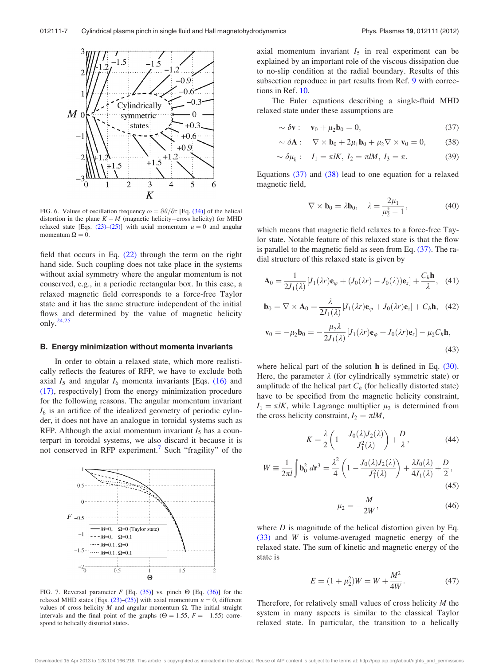<span id="page-7-0"></span>

FIG. 6. Values of oscillation frequency  $\omega = \partial \theta / \partial \tau$  [Eq. [\(34\)](#page-6-0)] of the helical distortion in the plane  $K - M$  (magnetic helicity–cross helicity) for MHD relaxed state [Eqs.  $(23)$ – $(25)$ ] with axial momentum  $u = 0$  and angular momentum  $\Omega = 0$ .

field that occurs in Eq. [\(22\)](#page-5-0) through the term on the right hand side. Such coupling does not take place in the systems without axial symmetry where the angular momentum is not conserved, e.g., in a periodic rectangular box. In this case, a relaxed magnetic field corresponds to a force-free Taylor state and it has the same structure independent of the initial flows and determined by the value of magnetic helicity only.[24,25](#page-13-0)

#### B. Energy minimization without momenta invariants

In order to obtain a relaxed state, which more realistically reflects the features of RFP, we have to exclude both axial  $I_5$  and angular  $I_6$  momenta invariants [Eqs. [\(16\)](#page-4-0) and [\(17\)](#page-4-0), respectively] from the energy minimization procedure for the following reasons. The angular momentum invariant  $I_6$  is an artifice of the idealized geometry of periodic cylinder, it does not have an analogue in toroidal systems such as RFP. Although the axial momentum invariant  $I_5$  has a counterpart in toroidal systems, we also discard it because it is not conserved in RFP experiment.<sup>[7](#page-13-0)</sup> Such "fragility" of the



FIG. 7. Reversal parameter F [Eq. [\(35\)\]](#page-6-0) vs. pinch  $\Theta$  [Eq. [\(36\)](#page-6-0)] for the relaxed MHD states [Eqs.  $(23)$ – $(25)$ ] with axial momentum  $u = 0$ , different values of cross helicity  $M$  and angular momentum  $\Omega$ . The initial straight intervals and the final point of the graphs ( $\Theta = 1.55$ ,  $F = -1.55$ ) correspond to helically distorted states.

axial momentum invariant  $I_5$  in real experiment can be explained by an important role of the viscous dissipation due to no-slip condition at the radial boundary. Results of this subsection reproduce in part results from Ref. [9](#page-13-0) with corrections in Ref. [10.](#page-13-0)

The Euler equations describing a single-fluid MHD relaxed state under these assumptions are

$$
\sim \delta \mathbf{v}: \quad \mathbf{v}_0 + \mu_2 \mathbf{b}_0 = 0,\tag{37}
$$

$$
\sim \delta \mathbf{A}: \quad \nabla \times \mathbf{b}_0 + 2\mu_1 \mathbf{b}_0 + \mu_2 \nabla \times \mathbf{v}_0 = 0, \tag{38}
$$

$$
\sim \delta \mu_k: \quad I_1 = \pi l K, \ I_2 = \pi l M, \ I_3 = \pi. \tag{39}
$$

Equations (37) and (38) lead to one equation for a relaxed magnetic field,

$$
\nabla \times \mathbf{b}_0 = \lambda \mathbf{b}_0, \quad \lambda = \frac{2\mu_1}{\mu_2^2 - 1}, \tag{40}
$$

which means that magnetic field relaxes to a force-free Taylor state. Notable feature of this relaxed state is that the flow is parallel to the magnetic field as seen from Eq. (37). The radial structure of this relaxed state is given by

$$
\mathbf{A}_0 = \frac{1}{2J_1(\lambda)} [J_1(\lambda r) \mathbf{e}_{\varphi} + (J_0(\lambda r) - J_0(\lambda)) \mathbf{e}_z] + \frac{C_h \mathbf{h}}{\lambda}, \quad (41)
$$

$$
\mathbf{b}_0 = \nabla \times \mathbf{A}_0 = \frac{\lambda}{2J_1(\lambda)} \left[ J_1(\lambda r) \mathbf{e}_{\varphi} + J_0(\lambda r) \mathbf{e}_z \right] + C_h \mathbf{h}, \quad (42)
$$

$$
\mathbf{v}_0 = -\mu_2 \mathbf{b}_0 = -\frac{\mu_2 \lambda}{2J_1(\lambda)} [J_1(\lambda r) \mathbf{e}_{\varphi} + J_0(\lambda r) \mathbf{e}_z] - \mu_2 C_h \mathbf{h},
$$
\n(43)

where helical part of the solution h is defined in Eq. [\(30\)](#page-5-0). Here, the parameter  $\lambda$  (for cylindrically symmetric state) or amplitude of the helical part  $C_h$  (for helically distorted state) have to be specified from the magnetic helicity constraint,  $I_1 = \pi lK$ , while Lagrange multiplier  $\mu_2$  is determined from the cross helicity constraint,  $I_2 = \pi l M$ ,

$$
K = \frac{\lambda}{2} \left( 1 - \frac{J_0(\lambda) J_2(\lambda)}{J_1^2(\lambda)} \right) + \frac{D}{\lambda},\tag{44}
$$

$$
W = \frac{1}{2\pi l} \int \mathbf{b}_0^2 d\mathbf{r}^3 = \frac{\lambda^2}{4} \left( 1 - \frac{J_0(\lambda) J_2(\lambda)}{J_1^2(\lambda)} \right) + \frac{\lambda J_0(\lambda)}{4J_1(\lambda)} + \frac{D}{2},\tag{45}
$$

$$
\mu_2 = -\frac{M}{2W},\qquad(46)
$$

where  $D$  is magnitude of the helical distortion given by Eq. [\(33\)](#page-6-0) and W is volume-averaged magnetic energy of the relaxed state. The sum of kinetic and magnetic energy of the state is

$$
E = (1 + \mu_2^2)W = W + \frac{M^2}{4W}.
$$
 (47)

Therefore, for relatively small values of cross helicity  $M$  the system in many aspects is similar to the classical Taylor relaxed state. In particular, the transition to a helically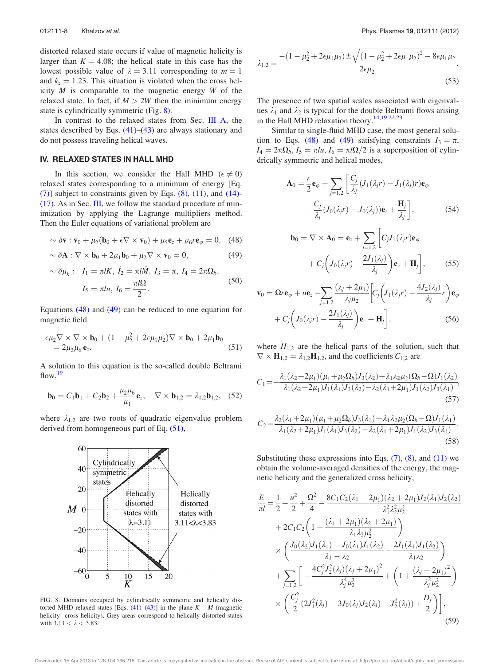<span id="page-8-0"></span>distorted relaxed state occurs if value of magnetic helicity is larger than  $K = 4.08$ ; the helical state in this case has the lowest possible value of  $\lambda = 3.11$  corresponding to  $m = 1$ and  $k_z = 1.23$ . This situation is violated when the cross helicity  $M$  is comparable to the magnetic energy  $W$  of the relaxed state. In fact, if  $M > 2W$  then the minimum energy state is cylindrically symmetric (Fig. 8).

In contrast to the relaxed states from Sec. [III A](#page-4-0), the states described by Eqs.  $(41)$ – $(43)$  are always stationary and do not possess traveling helical waves.

#### IV. RELAXED STATES IN HALL MHD

In this section, we consider the Hall MHD ( $\epsilon \neq 0$ ) relaxed states corresponding to a minimum of energy [Eq.  $(7)$ ] subject to constraints given by Eqs.  $(8)$ ,  $(11)$ , and  $(14)$ -[\(17\)](#page-4-0). As in Sec. [III,](#page-4-0) we follow the standard procedure of minimization by applying the Lagrange multipliers method. Then the Euler equations of variational problem are

$$
\sim \delta \mathbf{v} : \mathbf{v}_0 + \mu_2 (\mathbf{b}_0 + \epsilon \nabla \times \mathbf{v}_0) + \mu_5 \mathbf{e}_z + \mu_6 r \mathbf{e}_\varphi = 0, \quad (48)
$$

$$
\sim \delta \mathbf{A} : \nabla \times \mathbf{b}_0 + 2\mu_1 \mathbf{b}_0 + \mu_2 \nabla \times \mathbf{v}_0 = 0, \tag{49}
$$

$$
\sim \delta \mu_k: I_1 = \pi l K, \ \hat{I}_2 = \pi l \hat{M}, \ I_3 = \pi, \ I_4 = 2\pi \Omega_b,
$$

$$
I_5 = \pi l u, \ I_6 = \frac{\pi l \Omega}{2}.
$$

$$
(50)
$$

Equations (48) and (49) can be reduced to one equation for magnetic field

$$
\epsilon \mu_2 \nabla \times \nabla \times \mathbf{b}_0 + (1 - \mu_2^2 + 2\epsilon \mu_1 \mu_2) \nabla \times \mathbf{b}_0 + 2\mu_1 \mathbf{b}_0
$$
  
= 2\mu\_2 \mu\_6 \mathbf{e}\_z. (51)

A solution to this equation is the so-called double Beltrami flow,  $19$ 

$$
\mathbf{b}_0 = C_1 \mathbf{b}_1 + C_2 \mathbf{b}_2 + \frac{\mu_2 \mu_6}{\mu_1} \mathbf{e}_z, \quad \nabla \times \mathbf{b}_{1,2} = \lambda_{1,2} \mathbf{b}_{1,2}, \quad (52)
$$

where  $\lambda_{1,2}$  are two roots of quadratic eigenvalue problem derived from homogeneous part of Eq. (51),



FIG. 8. Domains occupied by cylindrically symmetric and helically distorted MHD relaxed states [Eqs.  $(41)$ – $(43)$ ] in the plane  $K - M$  (magnetic helicity-cross helicity). Grey areas correspond to helically distorted states with  $3.11 < \lambda < 3.83$ .

$$
\lambda_{1,2} = \frac{-(1 - \mu_2^2 + 2\epsilon\mu_1\mu_2) \pm \sqrt{(1 - \mu_2^2 + 2\epsilon\mu_1\mu_2)^2 - 8\epsilon\mu_1\mu_2}}{2\epsilon\mu_2}.
$$
\n(53)

The presence of two spatial scales associated with eigenvalues  $\lambda_1$  and  $\lambda_2$  is typical for the double Beltrami flows arising in the Hall MHD relaxation theory.<sup>14,19,22,23</sup>

Similar to single-fluid MHD case, the most general solution to Eqs. (48) and (49) satisfying constraints  $I_3 = \pi$ ,  $I_4 = 2\pi\Omega_b$ ,  $I_5 = \pi l u$ ,  $I_6 = \pi l\Omega/2$  is a superposition of cylindrically symmetric and helical modes,

$$
\mathbf{A}_0 = \frac{r}{2} \mathbf{e}_{\varphi} + \sum_{j=1,2} \left[ \frac{C_j}{\lambda_j} (J_1(\lambda_j r) - J_1(\lambda_j) r) \mathbf{e}_{\varphi} + \frac{C_j}{\lambda_j} (J_0(\lambda_j r) - J_0(\lambda_j)) \mathbf{e}_z + \frac{\mathbf{H}_j}{\lambda_j} \right],
$$
(54)

$$
\mathbf{b}_0 = \nabla \times \mathbf{A}_0 = \mathbf{e}_z + \sum_{j=1,2} \left[ C_j J_1(\lambda_j r) \mathbf{e}_{\varphi} + C_j \left( J_0(\lambda_j r) - \frac{2J_1(\lambda_j)}{\lambda_j} \right) \mathbf{e}_z + \mathbf{H}_j \right],
$$
 (55)

$$
\mathbf{v}_0 = \Omega r \mathbf{e}_{\varphi} + u \mathbf{e}_z - \sum_{j=1,2} \frac{(\lambda_j + 2\mu_1)}{\lambda_j \mu_2} \Big[ C_j \Big( J_1(\lambda_j r) - \frac{4J_2(\lambda_j)}{\lambda_j} r \Big) \mathbf{e}_{\varphi} + C_j \Big( J_0(\lambda_j r) - \frac{2J_1(\lambda_j)}{\lambda_j} \Big) \mathbf{e}_z + \mathbf{H}_j \Big],
$$
(56)

where  $H_{1,2}$  are the helical parts of the solution, such that  $\nabla \times \mathbf{H}_{1,2} = \lambda_{1,2} \mathbf{H}_{1,2}$ , and the coefficients  $C_{1,2}$  are

$$
C_1 = -\frac{\lambda_1(\lambda_2 + 2\mu_1)(\mu_1 + \mu_2 \Omega_b)J_3(\lambda_2) + \lambda_1\lambda_2\mu_2(\Omega_b - \Omega)J_1(\lambda_2)}{\lambda_1(\lambda_2 + 2\mu_1)J_1(\lambda_1)J_3(\lambda_2) - \lambda_2(\lambda_1 + 2\mu_1)J_1(\lambda_2)J_3(\lambda_1)},
$$
\n(57)

$$
C_2 = \frac{\lambda_2(\lambda_1 + 2\mu_1)(\mu_1 + \mu_2\Omega_b)J_3(\lambda_1) + \lambda_1\lambda_2\mu_2(\Omega_b - \Omega)J_1(\lambda_1)}{\lambda_1(\lambda_2 + 2\mu_1)J_1(\lambda_1)J_3(\lambda_2) - \lambda_2(\lambda_1 + 2\mu_1)J_1(\lambda_2)J_3(\lambda_1)}.
$$
\n(58)

Substituting these expressions into Eqs.  $(7)$ ,  $(8)$ , and  $(11)$  we obtain the volume-averaged densities of the energy, the magnetic helicity and the generalized cross helicity,

$$
\frac{E}{\pi l} = \frac{1}{2} + \frac{u^2}{2} + \frac{\Omega^2}{4} - \frac{8C_1C_2(\lambda_1 + 2\mu_1)(\lambda_2 + 2\mu_1)J_2(\lambda_1)J_2(\lambda_2)}{\lambda_1^2 \lambda_2^2 \mu_2^2} \n+ 2C_1C_2 \left(1 + \frac{(\lambda_1 + 2\mu_1)(\lambda_2 + 2\mu_1)}{\lambda_1 \lambda_2 \mu_2^2}\right) \n\times \left(\frac{J_0(\lambda_2)J_1(\lambda_1) - J_0(\lambda_1)J_1(\lambda_2)}{\lambda_1 - \lambda_2} - \frac{2J_1(\lambda_1)J_1(\lambda_2)}{\lambda_1 \lambda_2}\right) \n+ \sum_{j=1,2} \left[ -\frac{4C_j^2J_2^2(\lambda_j)(\lambda_j + 2\mu_1)^2}{\lambda_j^4 \mu_2^2} + \left(1 + \frac{(\lambda_j + 2\mu_1)^2}{\lambda_j^2 \mu_2^2}\right) \n\times \left(\frac{C_j^2}{2}(2J_1^2(\lambda_j) - 3J_0(\lambda_j)J_2(\lambda_j) - J_2^2(\lambda_j)) + \frac{D_j}{2}\right) \right],
$$
\n(59)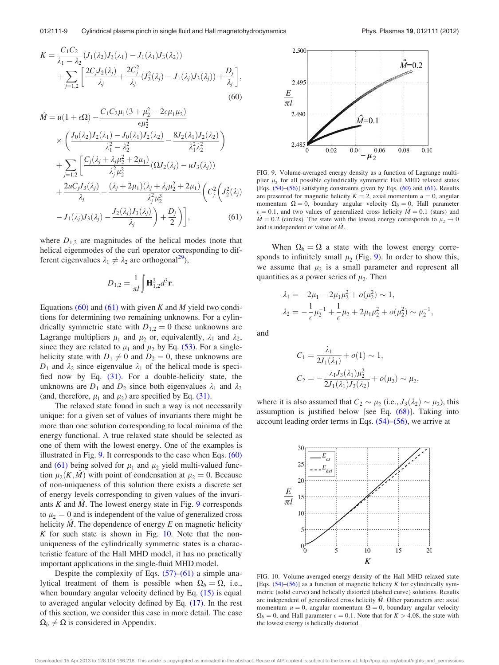<span id="page-9-0"></span>
$$
K = \frac{C_1 C_2}{\lambda_1 - \lambda_2} (J_1(\lambda_2) J_3(\lambda_1) - J_1(\lambda_1) J_3(\lambda_2))
$$
  
+ 
$$
\sum_{j=1,2} \left[ \frac{2C_j J_2(\lambda_j)}{\lambda_j} + \frac{2C_j^2}{\lambda_j} (J_2(\lambda_j) - J_1(\lambda_j) J_3(\lambda_j)) + \frac{D_j}{\lambda_j} \right],
$$
  
(60)

$$
\hat{M} = u(1 + \epsilon \Omega) - \frac{C_1 C_2 \mu_1 (3 + \mu_2^2 - 2\epsilon \mu_1 \mu_2)}{\epsilon \mu_2^2} \n\times \left( \frac{J_0(\lambda_2) J_2(\lambda_1) - J_0(\lambda_1) J_2(\lambda_2)}{\lambda_1^2 - \lambda_2^2} - \frac{8 J_2(\lambda_1) J_2(\lambda_2)}{\lambda_1^2 \lambda_2^2} \right) \n+ \sum_{j=1,2} \left[ \frac{C_j(\lambda_j + \lambda_j \mu_2^2 + 2\mu_1)}{\lambda_j^2 \mu_2^2} \left( \Omega J_2(\lambda_j) - u J_3(\lambda_j) \right) \n+ \frac{2u C_j J_3(\lambda_j)}{\lambda_j} - \frac{(\lambda_j + 2\mu_1)(\lambda_j + \lambda_j \mu_2^2 + 2\mu_1)}{\lambda_j^2 \mu_2^3} \left( C_j^2 \left( J_2^2(\lambda_j) - J_1(\lambda_j) J_3(\lambda_j) - \frac{J_2(\lambda_j) J_3(\lambda_j)}{\lambda_j} \right) + \frac{D_j}{2} \right) \right],
$$
\n(61)

where  $D_{1,2}$  are magnitudes of the helical modes (note that helical eigenmodes of the curl operator corresponding to different eigenvalues  $\lambda_1 \neq \lambda_2$  are orthogonal<sup>[29](#page-13-0)</sup>),

$$
D_{1,2} = \frac{1}{\pi l} \int \mathbf{H}_{1,2}^2 d^3 \mathbf{r}.
$$

Equations (60) and (61) with given K and M yield two conditions for determining two remaining unknowns. For a cylindrically symmetric state with  $D_{1,2} = 0$  these unknowns are Lagrange multipliers  $\mu_1$  and  $\mu_2$  or, equivalently,  $\lambda_1$  and  $\lambda_2$ , since they are related to  $\mu_1$  and  $\mu_2$  by Eq. [\(53\).](#page-8-0) For a singlehelicity state with  $D_1 \neq 0$  and  $D_2 = 0$ , these unknowns are  $D_1$  and  $\lambda_2$  since eigenvalue  $\lambda_1$  of the helical mode is specified now by Eq. [\(31\)](#page-5-0). For a double-helicity state, the unknowns are  $D_1$  and  $D_2$  since both eigenvalues  $\lambda_1$  and  $\lambda_2$ (and, therefore,  $\mu_1$  and  $\mu_2$ ) are specified by Eq. [\(31\).](#page-5-0)

The relaxed state found in such a way is not necessarily unique: for a given set of values of invariants there might be more than one solution corresponding to local minima of the energy functional. A true relaxed state should be selected as one of them with the lowest energy. One of the examples is illustrated in Fig.  $9$ . It corresponds to the case when Eqs.  $(60)$ and (61) being solved for  $\mu_1$  and  $\mu_2$  yield multi-valued function  $\mu_2(K, M)$  with point of condensation at  $\mu_2 = 0$ . Because of non-uniqueness of this solution there exists a discrete set of energy levels corresponding to given values of the invariants  $K$  and  $M$ . The lowest energy state in Fig. 9 corresponds to  $\mu_2 = 0$  and is independent of the value of generalized cross helicity  $M$ . The dependence of energy  $E$  on magnetic helicity K for such state is shown in Fig.  $10$ . Note that the nonuniqueness of the cylindrically symmetric states is a characteristic feature of the Hall MHD model, it has no practically important applications in the single-fluid MHD model.

Despite the complexity of Eqs.  $(57)$ – $(61)$  a simple analytical treatment of them is possible when  $\Omega_b = \Omega$ , i.e., when boundary angular velocity defined by Eq. [\(15\)](#page-4-0) is equal to averaged angular velocity defined by Eq. [\(17\).](#page-4-0) In the rest of this section, we consider this case in more detail. The case  $\Omega_b \neq \Omega$  is considered in Appendix.



FIG. 9. Volume-averaged energy density as a function of Lagrange multiplier  $\mu_2$  for all possible cylindrically symmetric Hall MHD relaxed states [Eqs. [\(54\)–\(56\)\]](#page-8-0) satisfying constraints given by Eqs. (60) and (61). Results are presented for magnetic helicity  $K = 2$ , axial momentum  $u = 0$ , angular momentum  $\Omega = 0$ , boundary angular velocity  $\Omega_b = 0$ , Hall parameter  $\epsilon = 0.1$ , and two values of generalized cross helicity  $\hat{M} = 0.1$  (stars) and  $\hat{M} = 0.2$  (circles). The state with the lowest energy corresponds to  $\mu_2 \rightarrow 0$ and is independent of value of M^.

When  $\Omega_b = \Omega$  a state with the lowest energy corresponds to infinitely small  $\mu_2$  (Fig. 9). In order to show this, we assume that  $\mu_2$  is a small parameter and represent all quantities as a power series of  $\mu_2$ . Then

$$
\lambda_1 = -2\mu_1 - 2\mu_1\mu_2^2 + o(\mu_2^2) \sim 1,
$$
  
\n
$$
\lambda_2 = -\frac{1}{\epsilon}\mu_2^{-1} + \frac{1}{\epsilon}\mu_2 + 2\mu_1\mu_2^2 + o(\mu_2^2) \sim \mu_2^{-1},
$$

and

$$
C_1 = \frac{\lambda_1}{2J_1(\lambda_1)} + o(1) \sim 1,
$$
  
\n
$$
C_2 = -\frac{\lambda_1 J_3(\lambda_1) \mu_2^2}{2J_1(\lambda_1) J_3(\lambda_2)} + o(\mu_2) \sim \mu_2,
$$

where it is also assumed that  $C_2 \sim \mu_2$  (i.e.,  $J_3(\lambda_2) \sim \mu_2$ ), this assumption is justified below [see Eq. [\(68\)\]](#page-10-0). Taking into account leading order terms in Eqs. [\(54\)–\(56\),](#page-8-0) we arrive at



FIG. 10. Volume-averaged energy density of the Hall MHD relaxed state [Eqs.  $(54)$ – $(56)$ ] as a function of magnetic helicity K for cylindrically symmetric (solid curve) and helically distorted (dashed curve) solutions. Results are independent of generalized cross helicity  $\hat{M}$ . Other parameters are: axial momentum  $u = 0$ , angular momentum  $\Omega = 0$ , boundary angular velocity  $\Omega_b = 0$ , and Hall parameter  $\epsilon = 0.1$ . Note that for  $K > 4.08$ , the state with the lowest energy is helically distorted.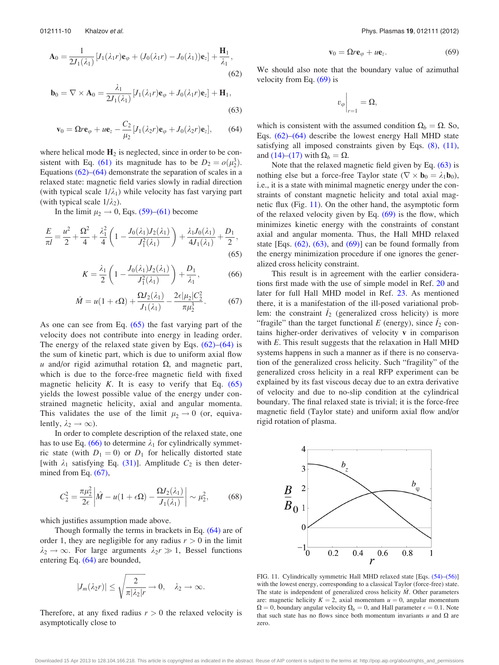<span id="page-10-0"></span>
$$
\mathbf{A}_0 = \frac{1}{2J_1(\lambda_1)} [J_1(\lambda_1 r)\mathbf{e}_{\varphi} + (J_0(\lambda_1 r) - J_0(\lambda_1))\mathbf{e}_z] + \frac{\mathbf{H}_1}{\lambda_1},
$$
\n(62)

$$
\mathbf{b}_0 = \nabla \times \mathbf{A}_0 = \frac{\lambda_1}{2J_1(\lambda_1)} \left[ J_1(\lambda_1 r) \mathbf{e}_{\varphi} + J_0(\lambda_1 r) \mathbf{e}_z \right] + \mathbf{H}_1,
$$
\n(63)

$$
\mathbf{v}_0 = \Omega r \mathbf{e}_{\varphi} + u \mathbf{e}_z - \frac{C_2}{\mu_2} [J_1(\lambda_2 r) \mathbf{e}_{\varphi} + J_0(\lambda_2 r) \mathbf{e}_z],\tag{64}
$$

where helical mode  $H_2$  is neglected, since in order to be con-sistent with Eq. [\(61\)](#page-9-0) its magnitude has to be  $D_2 = o(\mu_2^3)$ . Equations  $(62)$ – $(64)$  demonstrate the separation of scales in a relaxed state: magnetic field varies slowly in radial direction (with typical scale  $1/\lambda_1$ ) while velocity has fast varying part (with typical scale  $1/\lambda_2$ ).

In the limit  $\mu_2 \rightarrow 0$ , Eqs. [\(59\)–](#page-8-0)[\(61\)](#page-9-0) become

$$
\frac{E}{\pi l} = \frac{u^2}{2} + \frac{\Omega^2}{4} + \frac{\lambda_1^2}{4} \left( 1 - \frac{J_0(\lambda_1) J_2(\lambda_1)}{J_1^2(\lambda_1)} \right) + \frac{\lambda_1 J_0(\lambda_1)}{4 J_1(\lambda_1)} + \frac{D_1}{2},\tag{65}
$$

$$
K = \frac{\lambda_1}{2} \left( 1 - \frac{J_0(\lambda_1) J_2(\lambda_1)}{J_1^2(\lambda_1)} \right) + \frac{D_1}{\lambda_1},
$$
 (66)

$$
\hat{M} = u(1 + \epsilon \Omega) + \frac{\Omega J_2(\lambda_1)}{J_1(\lambda_1)} - \frac{2\epsilon |\mu_2| C_2^2}{\pi \mu_2^3}.
$$
 (67)

As one can see from Eq.  $(65)$  the fast varying part of the velocity does not contribute into energy in leading order. The energy of the relaxed state given by Eqs.  $(62)$ – $(64)$  is the sum of kinetic part, which is due to uniform axial flow u and/or rigid azimuthal rotation  $\Omega$ , and magnetic part, which is due to the force-free magnetic field with fixed magnetic helicity  $K$ . It is easy to verify that Eq.  $(65)$ yields the lowest possible value of the energy under constrained magnetic helicity, axial and angular momenta. This validates the use of the limit  $\mu_2 \rightarrow 0$  (or, equivalently,  $\lambda_2 \rightarrow \infty$ ).

In order to complete description of the relaxed state, one has to use Eq. (66) to determine  $\lambda_1$  for cylindrically symmetric state (with  $D_1 = 0$ ) or  $D_1$  for helically distorted state [with  $\lambda_1$  satisfying Eq. [\(31\)\]](#page-5-0). Amplitude  $C_2$  is then determined from Eq.  $(67)$ ,

$$
C_2^2 = \frac{\pi \mu_2^2}{2\epsilon} \left| \hat{M} - u(1 + \epsilon \Omega) - \frac{\Omega J_2(\lambda_1)}{J_1(\lambda_1)} \right| \sim \mu_2^2, \quad (68)
$$

which justifies assumption made above.

Though formally the terms in brackets in Eq. (64) are of order 1, they are negligible for any radius  $r > 0$  in the limit  $\lambda_2 \rightarrow \infty$ . For large arguments  $\lambda_2 r \gg 1$ , Bessel functions entering Eq. (64) are bounded,

$$
|J_m(\lambda_2 r)| \leq \sqrt{\frac{2}{\pi |\lambda_2| r}} \to 0, \quad \lambda_2 \to \infty.
$$

Therefore, at any fixed radius  $r > 0$  the relaxed velocity is asymptotically close to

$$
\mathbf{v}_0 = \Omega r \mathbf{e}_{\varphi} + u \mathbf{e}_z. \tag{69}
$$

We should also note that the boundary value of azimuthal velocity from Eq.  $(69)$  is

$$
v_{\varphi}\bigg|_{r=1}=\Omega,
$$

which is consistent with the assumed condition  $\Omega_b = \Omega$ . So, Eqs. [\(62\)–](#page-9-0)(64) describe the lowest energy Hall MHD state satisfying all imposed constraints given by Eqs. [\(8\),](#page-3-0) [\(11\)](#page-3-0), and [\(14\)–\(17\)](#page-4-0) with  $\Omega_b = \Omega$ .

Note that the relaxed magnetic field given by Eq. (63) is nothing else but a force-free Taylor state ( $\nabla \times \mathbf{b}_0 = \lambda_1 \mathbf{b}_0$ ), i.e., it is a state with minimal magnetic energy under the constraints of constant magnetic helicity and total axial magnetic flux (Fig. 11). On the other hand, the asymptotic form of the relaxed velocity given by Eq.  $(69)$  is the flow, which minimizes kinetic energy with the constraints of constant axial and angular momenta. Thus, the Hall MHD relaxed state [Eqs.  $(62)$ ,  $(63)$ , and  $(69)$ ] can be found formally from the energy minimization procedure if one ignores the generalized cross helicity constraint.

This result is in agreement with the earlier considerations first made with the use of simple model in Ref. [20](#page-13-0) and later for full Hall MHD model in Ref. [23.](#page-13-0) As mentioned there, it is a manifestation of the ill-posed variational problem: the constraint  $\hat{I}_2$  (generalized cross helicity) is more "fragile" than the target functional E (energy), since  $\hat{I}_2$  contains higher-order derivatives of velocity v in comparison with E. This result suggests that the relaxation in Hall MHD systems happens in such a manner as if there is no conservation of the generalized cross helicity. Such "fragility" of the generalized cross helicity in a real RFP experiment can be explained by its fast viscous decay due to an extra derivative of velocity and due to no-slip condition at the cylindrical boundary. The final relaxed state is trivial; it is the force-free magnetic field (Taylor state) and uniform axial flow and/or rigid rotation of plasma.



FIG. 11. Cylindrically symmetric Hall MHD relaxed state [Eqs. [\(54\)–\(56\)](#page-8-0)] with the lowest energy, corresponding to a classical Taylor (force-free) state. The state is independent of generalized cross helicity  $\hat{M}$ . Other parameters are: magnetic helicity  $K = 2$ , axial momentum  $u = 0$ , angular momentum  $\Omega = 0$ , boundary angular velocity  $\Omega_b = 0$ , and Hall parameter  $\epsilon = 0.1$ . Note that such state has no flows since both momentum invariants  $u$  and  $\Omega$  are zero.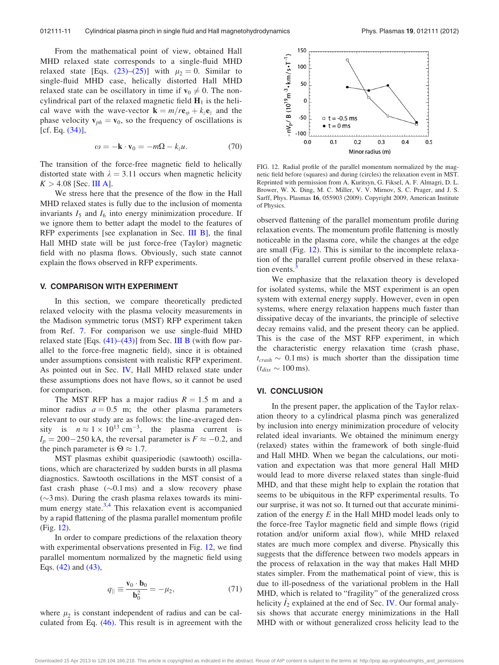<span id="page-11-0"></span>From the mathematical point of view, obtained Hall MHD relaxed state corresponds to a single-fluid MHD relaxed state [Eqs. [\(23\)–\(25\)](#page-5-0)] with  $\mu_2 = 0$ . Similar to single-fluid MHD case, helically distorted Hall MHD relaxed state can be oscillatory in time if  $v_0 \neq 0$ . The noncylindrical part of the relaxed magnetic field  $H_1$  is the helical wave with the wave-vector  $\mathbf{k} = m/r \mathbf{e}_{\varphi} + k_z \mathbf{e}_z$  and the phase velocity  $v_{ph} = v_0$ , so the frequency of oscillations is  $[cf. Eq. (34)],$  $[cf. Eq. (34)],$  $[cf. Eq. (34)],$ 

$$
\omega = -\mathbf{k} \cdot \mathbf{v}_0 = -m\Omega - k_z u. \tag{70}
$$

The transition of the force-free magnetic field to helically distorted state with  $\lambda = 3.11$  occurs when magnetic helicity  $K > 4.08$  [Sec. [III A\]](#page-4-0).

We stress here that the presence of the flow in the Hall MHD relaxed states is fully due to the inclusion of momenta invariants  $I_5$  and  $I_6$  into energy minimization procedure. If we ignore them to better adapt the model to the features of RFP experiments [see explanation in Sec. [III B](#page-7-0)], the final Hall MHD state will be just force-free (Taylor) magnetic field with no plasma flows. Obviously, such state cannot explain the flows observed in RFP experiments.

#### V. COMPARISON WITH EXPERIMENT

In this section, we compare theoretically predicted relaxed velocity with the plasma velocity measurements in the Madison symmetric torus (MST) RFP experiment taken from Ref. [7](#page-13-0). For comparison we use single-fluid MHD relaxed state [Eqs.  $(41)$ – $(43)$ ] from Sec. [III B](#page-7-0) (with flow parallel to the force-free magnetic field), since it is obtained under assumptions consistent with realistic RFP experiment. As pointed out in Sec. [IV](#page-8-0), Hall MHD relaxed state under these assumptions does not have flows, so it cannot be used for comparison.

The MST RFP has a major radius  $R = 1.5$  m and a minor radius  $a = 0.5$  m; the other plasma parameters relevant to our study are as follows: the line-averaged density is  $n \approx 1 \times 10^{13} \text{ cm}^{-3}$ , the plasma current is  $I_p = 200 - 250$  kA, the reversal parameter is  $F \approx -0.2$ , and the pinch parameter is  $\Theta \approx 1.7$ .

MST plasmas exhibit quasiperiodic (sawtooth) oscillations, which are characterized by sudden bursts in all plasma diagnostics. Sawtooth oscillations in the MST consist of a fast crash phase  $(\sim 0.1 \text{ ms})$  and a slow recovery phase  $(\sim)3$  ms). During the crash plasma relaxes towards its mini-mum energy state.<sup>[3,4](#page-13-0)</sup> This relaxation event is accompanied by a rapid flattening of the plasma parallel momentum profile (Fig. 12).

In order to compare predictions of the relaxation theory with experimental observations presented in Fig. 12, we find parallel momentum normalized by the magnetic field using Eqs. [\(42\)](#page-7-0) and [\(43\),](#page-7-0)

$$
q_{\parallel} \equiv \frac{\mathbf{v}_0 \cdot \mathbf{b}_0}{\mathbf{b}_0^2} = -\mu_2,\tag{71}
$$

where  $\mu_2$  is constant independent of radius and can be calculated from Eq. [\(46\)](#page-7-0). This result is in agreement with the



FIG. 12. Radial profile of the parallel momentum normalized by the magnetic field before (squares) and during (circles) the relaxation event in MST. Reprinted with permission from A. Kuritsyn, G. Fiksel, A. F. Almagri, D. L. Brower, W. X. Ding, M. C. Miller, V. V. Mirnov, S. C. Prager, and J. S. Sarff, Phys. Plasmas 16, 055903 (2009). Copyright 2009, American Institute of Physics.

observed flattening of the parallel momentum profile during relaxation events. The momentum profile flattening is mostly noticeable in the plasma core, while the changes at the edge are small (Fig. 12). This is similar to the incomplete relaxation of the parallel current profile observed in these relaxation events.

We emphasize that the relaxation theory is developed for isolated systems, while the MST experiment is an open system with external energy supply. However, even in open systems, where energy relaxation happens much faster than dissipative decay of the invariants, the principle of selective decay remains valid, and the present theory can be applied. This is the case of the MST RFP experiment, in which the characteristic energy relaxation time (crash phase,  $t_{crash} \sim 0.1$  ms) is much shorter than the dissipation time  $(t_{diss} \sim 100 \,\text{ms}).$ 

#### VI. CONCLUSION

In the present paper, the application of the Taylor relaxation theory to a cylindrical plasma pinch was generalized by inclusion into energy minimization procedure of velocity related ideal invariants. We obtained the minimum energy (relaxed) states within the framework of both single-fluid and Hall MHD. When we began the calculations, our motivation and expectation was that more general Hall MHD would lead to more diverse relaxed states than single-fluid MHD, and that these might help to explain the rotation that seems to be ubiquitous in the RFP experimental results. To our surprise, it was not so. It turned out that accurate minimization of the energy  $E$  in the Hall MHD model leads only to the force-free Taylor magnetic field and simple flows (rigid rotation and/or uniform axial flow), while MHD relaxed states are much more complex and diverse. Physically this suggests that the difference between two models appears in the process of relaxation in the way that makes Hall MHD states simpler. From the mathematical point of view, this is due to ill-posedness of the variational problem in the Hall MHD, which is related to "fragility" of the generalized cross helicity  $\hat{I}_2$  explained at the end of Sec. [IV.](#page-8-0) Our formal analysis shows that accurate energy minimizations in the Hall MHD with or without generalized cross helicity lead to the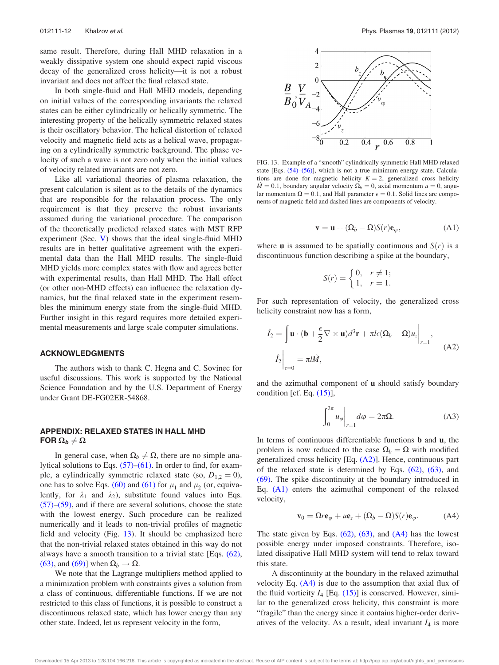same result. Therefore, during Hall MHD relaxation in a weakly dissipative system one should expect rapid viscous decay of the generalized cross helicity—it is not a robust invariant and does not affect the final relaxed state.

In both single-fluid and Hall MHD models, depending on initial values of the corresponding invariants the relaxed states can be either cylindrically or helically symmetric. The interesting property of the helically symmetric relaxed states is their oscillatory behavior. The helical distortion of relaxed velocity and magnetic field acts as a helical wave, propagating on a cylindrically symmetric background. The phase velocity of such a wave is not zero only when the initial values of velocity related invariants are not zero.

Like all variational theories of plasma relaxation, the present calculation is silent as to the details of the dynamics that are responsible for the relaxation process. The only requirement is that they preserve the robust invariants assumed during the variational procedure. The comparison of the theoretically predicted relaxed states with MST RFP experiment (Sec. [V\)](#page-11-0) shows that the ideal single-fluid MHD results are in better qualitative agreement with the experimental data than the Hall MHD results. The single-fluid MHD yields more complex states with flow and agrees better with experimental results, than Hall MHD. The Hall effect (or other non-MHD effects) can influence the relaxation dynamics, but the final relaxed state in the experiment resembles the minimum energy state from the single-fluid MHD. Further insight in this regard requires more detailed experimental measurements and large scale computer simulations.

## ACKNOWLEDGMENTS

The authors wish to thank C. Hegna and C. Sovinec for useful discussions. This work is supported by the National Science Foundation and by the U.S. Department of Energy under Grant DE-FG02ER-54868.

# APPENDIX: RELAXED STATES IN HALL MHD FOR  $\Omega_{b} \neq \Omega$

In general case, when  $\Omega_b \neq \Omega$ , there are no simple analytical solutions to Eqs. [\(57\)–](#page-8-0)[\(61\)](#page-9-0). In order to find, for example, a cylindrically symmetric relaxed state (so,  $D_{1,2} = 0$ ), one has to solve Eqs. [\(60\)](#page-9-0) and [\(61\)](#page-9-0) for  $\mu_1$  and  $\mu_2$  (or, equivalently, for  $\lambda_1$  and  $\lambda_2$ ), substitute found values into Eqs.  $(57)$ – $(59)$ , and if there are several solutions, choose the state with the lowest energy. Such procedure can be realized numerically and it leads to non-trivial profiles of magnetic field and velocity (Fig. 13). It should be emphasized here that the non-trivial relaxed states obtained in this way do not always have a smooth transition to a trivial state [Eqs. [\(62\)](#page-9-0), [\(63\)](#page-10-0), and [\(69\)](#page-10-0)] when  $\Omega_b \rightarrow \Omega$ .

We note that the Lagrange multipliers method applied to a minimization problem with constraints gives a solution from a class of continuous, differentiable functions. If we are not restricted to this class of functions, it is possible to construct a discontinuous relaxed state, which has lower energy than any other state. Indeed, let us represent velocity in the form,



FIG. 13. Example of a "smooth" cylindrically symmetric Hall MHD relaxed state [Eqs.  $(54)$ – $(56)$ ], which is not a true minimum energy state. Calculations are done for magnetic helicity  $K = 2$ , generalized cross helicity  $\hat{M} = 0.1$ , boundary angular velocity  $\Omega_b = 0$ , axial momentum  $u = 0$ , angular momentum  $\Omega = 0.1$ , and Hall parameter  $\epsilon = 0.1$ . Solid lines are components of magnetic field and dashed lines are components of velocity.

$$
\mathbf{v} = \mathbf{u} + (\Omega_b - \Omega) S(r) \mathbf{e}_{\varphi}, \tag{A1}
$$

where **u** is assumed to be spatially continuous and  $S(r)$  is a discontinuous function describing a spike at the boundary,

$$
S(r) = \begin{cases} 0, & r \neq 1; \\ 1, & r = 1. \end{cases}
$$

For such representation of velocity, the generalized cross helicity constraint now has a form,

$$
\hat{I}_2 = \int \mathbf{u} \cdot (\mathbf{b} + \frac{\epsilon}{2} \nabla \times \mathbf{u}) d^3 \mathbf{r} + \pi l \epsilon (\Omega_b - \Omega) u_z \Big|_{r=1},
$$
\n
$$
\hat{I}_2 \Big|_{\tau=0} = \pi l \hat{M},
$$
\n(A2)

and the azimuthal component of u should satisfy boundary condition [cf. Eq. [\(15\)](#page-4-0)],

$$
\int_0^{2\pi} u_\varphi \bigg|_{r=1} d\varphi = 2\pi \Omega.
$$
 (A3)

In terms of continuous differentiable functions **b** and **u**, the problem is now reduced to the case  $\Omega_b = \Omega$  with modified generalized cross helicity [Eq. [\(A2\)\]](#page-2-0). Hence, continuous part of the relaxed state is determined by Eqs. [\(62\),](#page-9-0) [\(63\)](#page-10-0), and [\(69\)](#page-10-0). The spike discontinuity at the boundary introduced in Eq. [\(A1\)](#page-2-0) enters the azimuthal component of the relaxed velocity,

$$
\mathbf{v}_0 = \Omega r \mathbf{e}_{\varphi} + u \mathbf{e}_z + (\Omega_b - \Omega) S(r) \mathbf{e}_{\varphi}.
$$
 (A4)

The state given by Eqs.  $(62)$ ,  $(63)$ , and  $(A4)$  has the lowest possible energy under imposed constraints. Therefore, isolated dissipative Hall MHD system will tend to relax toward this state.

A discontinuity at the boundary in the relaxed azimuthal velocity Eq.  $(A4)$  is due to the assumption that axial flux of the fluid vorticity  $I_4$  [Eq. [\(15\)\]](#page-4-0) is conserved. However, similar to the generalized cross helicity, this constraint is more "fragile" than the energy since it contains higher-order derivatives of the velocity. As a result, ideal invariant  $I_4$  is more